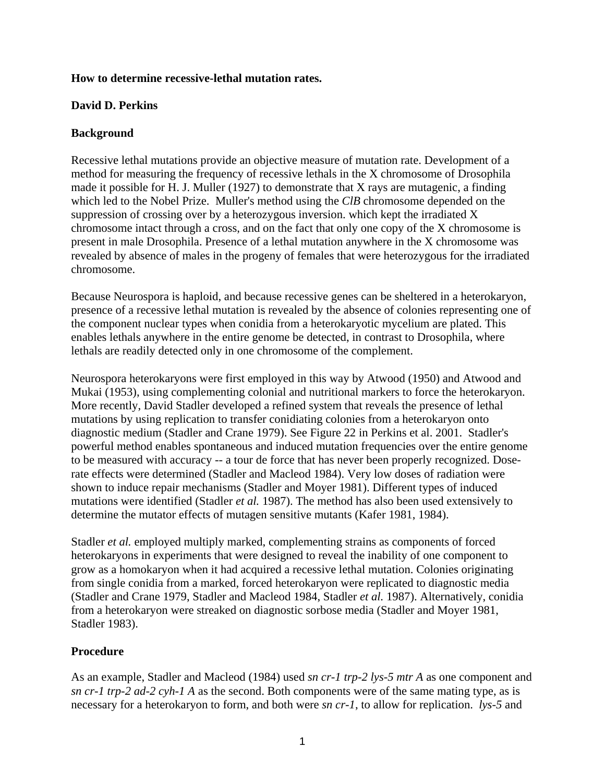#### **How to determine recessive-lethal mutation rates.**

### **David D. Perkins**

### **Background**

Recessive lethal mutations provide an objective measure of mutation rate. Development of a method for measuring the frequency of recessive lethals in the X chromosome of Drosophila made it possible for H. J. Muller (1927) to demonstrate that X rays are mutagenic, a finding which led to the Nobel Prize. Muller's method using the *ClB* chromosome depended on the suppression of crossing over by a heterozygous inversion. which kept the irradiated X chromosome intact through a cross, and on the fact that only one copy of the X chromosome is present in male Drosophila. Presence of a lethal mutation anywhere in the X chromosome was revealed by absence of males in the progeny of females that were heterozygous for the irradiated chromosome.

Because Neurospora is haploid, and because recessive genes can be sheltered in a heterokaryon, presence of a recessive lethal mutation is revealed by the absence of colonies representing one of the component nuclear types when conidia from a heterokaryotic mycelium are plated. This enables lethals anywhere in the entire genome be detected, in contrast to Drosophila, where lethals are readily detected only in one chromosome of the complement.

Neurospora heterokaryons were first employed in this way by Atwood (1950) and Atwood and Mukai (1953), using complementing colonial and nutritional markers to force the heterokaryon. More recently, David Stadler developed a refined system that reveals the presence of lethal mutations by using replication to transfer conidiating colonies from a heterokaryon onto diagnostic medium (Stadler and Crane 1979). See Figure 22 in Perkins et al. 2001. Stadler's powerful method enables spontaneous and induced mutation frequencies over the entire genome to be measured with accuracy -- a tour de force that has never been properly recognized. Doserate effects were determined (Stadler and Macleod 1984). Very low doses of radiation were shown to induce repair mechanisms (Stadler and Moyer 1981). Different types of induced mutations were identified (Stadler *et al.* 1987). The method has also been used extensively to determine the mutator effects of mutagen sensitive mutants (Kafer 1981, 1984).

Stadler *et al.* employed multiply marked, complementing strains as components of forced heterokaryons in experiments that were designed to reveal the inability of one component to grow as a homokaryon when it had acquired a recessive lethal mutation. Colonies originating from single conidia from a marked, forced heterokaryon were replicated to diagnostic media (Stadler and Crane 1979, Stadler and Macleod 1984, Stadler *et al.* 1987). Alternatively, conidia from a heterokaryon were streaked on diagnostic sorbose media (Stadler and Moyer 1981, Stadler 1983).

# **Procedure**

As an example, Stadler and Macleod (1984) used *sn cr-1 trp-2 lys-5 mtr A* as one component and *sn cr-1 trp-2 ad-2 cyh-1 A* as the second. Both components were of the same mating type, as is necessary for a heterokaryon to form, and both were *sn cr-1*, to allow for replication. *lys-5* and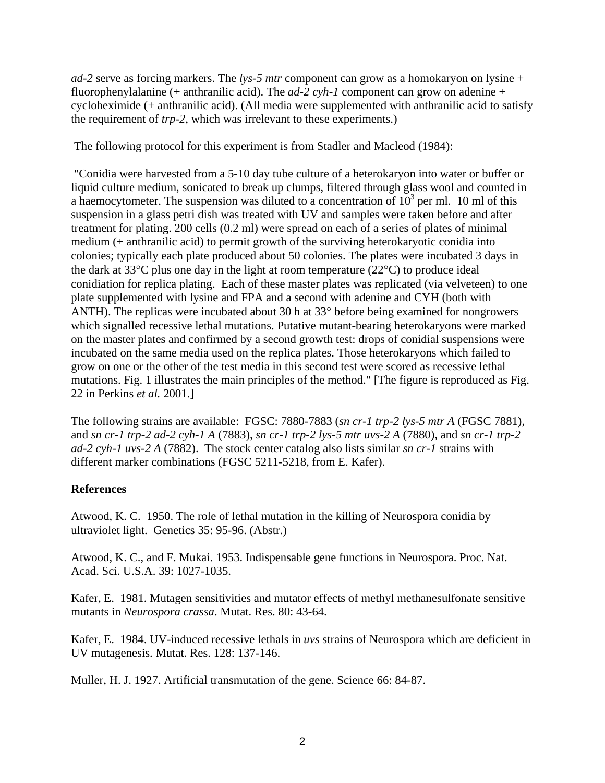*ad-2* serve as forcing markers. The *lys-5 mtr* component can grow as a homokaryon on lysine + fluorophenylalanine (+ anthranilic acid). The *ad-2 cyh-1* component can grow on adenine + cycloheximide (+ anthranilic acid). (All media were supplemented with anthranilic acid to satisfy the requirement of *trp-2*, which was irrelevant to these experiments.)

The following protocol for this experiment is from Stadler and Macleod (1984):

 "Conidia were harvested from a 5-10 day tube culture of a heterokaryon into water or buffer or liquid culture medium, sonicated to break up clumps, filtered through glass wool and counted in a haemocytometer. The suspension was diluted to a concentration of  $10^3$  per ml. 10 ml of this suspension in a glass petri dish was treated with UV and samples were taken before and after treatment for plating. 200 cells (0.2 ml) were spread on each of a series of plates of minimal medium (+ anthranilic acid) to permit growth of the surviving heterokaryotic conidia into colonies; typically each plate produced about 50 colonies. The plates were incubated 3 days in the dark at 33°C plus one day in the light at room temperature (22°C) to produce ideal conidiation for replica plating. Each of these master plates was replicated (via velveteen) to one plate supplemented with lysine and FPA and a second with adenine and CYH (both with ANTH). The replicas were incubated about 30 h at 33° before being examined for nongrowers which signalled recessive lethal mutations. Putative mutant-bearing heterokaryons were marked on the master plates and confirmed by a second growth test: drops of conidial suspensions were incubated on the same media used on the replica plates. Those heterokaryons which failed to grow on one or the other of the test media in this second test were scored as recessive lethal mutations. Fig. 1 illustrates the main principles of the method." [The figure is reproduced as Fig. 22 in Perkins *et al.* 2001.]

The following strains are available: FGSC: 7880-7883 (*sn cr-1 trp-2 lys-5 mtr A* (FGSC 7881), and *sn cr-1 trp-2 ad-2 cyh-1 A* (7883), *sn cr-1 trp-2 lys-5 mtr uvs-2 A* (7880), and *sn cr-1 trp-2 ad-2 cyh-1 uvs-2 A* (7882). The stock center catalog also lists similar *sn cr-1* strains with different marker combinations (FGSC 5211-5218, from E. Kafer).

# **References**

Atwood, K. C. 1950. The role of lethal mutation in the killing of Neurospora conidia by ultraviolet light. Genetics 35: 95-96. (Abstr.)

Atwood, K. C., and F. Mukai. 1953. Indispensable gene functions in Neurospora. Proc. Nat. Acad. Sci. U.S.A. 39: 1027-1035.

Kafer, E. 1981. Mutagen sensitivities and mutator effects of methyl methanesulfonate sensitive mutants in *Neurospora crassa*. Mutat. Res. 80: 43-64.

Kafer, E. 1984. UV-induced recessive lethals in *uvs* strains of Neurospora which are deficient in UV mutagenesis. Mutat. Res. 128: 137-146.

Muller, H. J. 1927. Artificial transmutation of the gene. Science 66: 84-87.